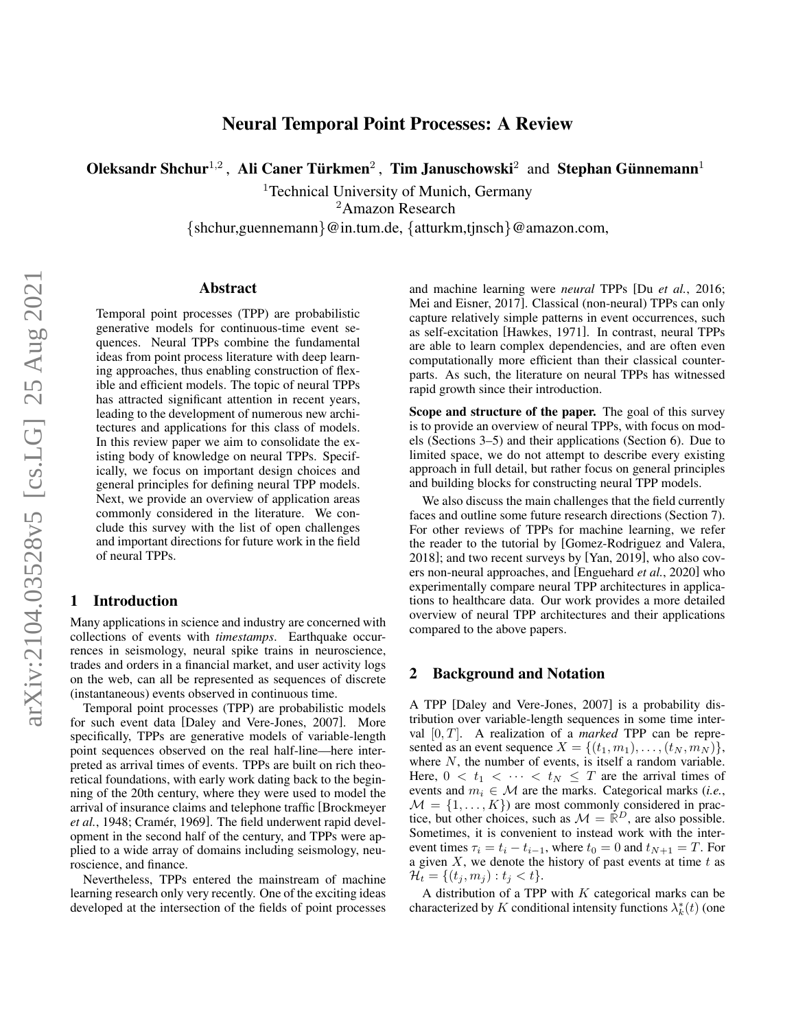# Neural Temporal Point Processes: A Review

Oleksandr Shchur<sup>1,2</sup>, Ali Caner Türkmen<sup>2</sup>, Tim Januschowski<sup>2</sup> and Stephan Günnemann<sup>1</sup>

<sup>1</sup>Technical University of Munich, Germany <sup>2</sup>Amazon Research

{shchur,guennemann}@in.tum.de, {atturkm,tjnsch}@amazon.com,

#### Abstract

Temporal point processes (TPP) are probabilistic generative models for continuous-time event sequences. Neural TPPs combine the fundamental ideas from point process literature with deep learning approaches, thus enabling construction of flexible and efficient models. The topic of neural TPPs has attracted significant attention in recent years, leading to the development of numerous new architectures and applications for this class of models. In this review paper we aim to consolidate the existing body of knowledge on neural TPPs. Specifically, we focus on important design choices and general principles for defining neural TPP models. Next, we provide an overview of application areas commonly considered in the literature. We conclude this survey with the list of open challenges and important directions for future work in the field of neural TPPs.

#### 1 Introduction

Many applications in science and industry are concerned with collections of events with *timestamps*. Earthquake occurrences in seismology, neural spike trains in neuroscience, trades and orders in a financial market, and user activity logs on the web, can all be represented as sequences of discrete (instantaneous) events observed in continuous time.

Temporal point processes (TPP) are probabilistic models for such event data [\[Daley and Vere-Jones, 2007\]](#page-7-0). More specifically, TPPs are generative models of variable-length point sequences observed on the real half-line—here interpreted as arrival times of events. TPPs are built on rich theoretical foundations, with early work dating back to the beginning of the 20th century, where they were used to model the arrival of insurance claims and telephone traffic [\[Brockmeyer](#page-7-1) *et al.*[, 1948;](#page-7-1) Cramér, 1969]. The field underwent rapid development in the second half of the century, and TPPs were applied to a wide array of domains including seismology, neuroscience, and finance.

Nevertheless, TPPs entered the mainstream of machine learning research only very recently. One of the exciting ideas developed at the intersection of the fields of point processes and machine learning were *neural* TPPs [Du *et al.*[, 2016;](#page-7-3) [Mei and Eisner, 2017\]](#page-7-4). Classical (non-neural) TPPs can only capture relatively simple patterns in event occurrences, such as self-excitation [\[Hawkes, 1971\]](#page-7-5). In contrast, neural TPPs are able to learn complex dependencies, and are often even computationally more efficient than their classical counterparts. As such, the literature on neural TPPs has witnessed rapid growth since their introduction.

Scope and structure of the paper. The goal of this survey is to provide an overview of neural TPPs, with focus on models (Sections [3–](#page-1-0)[5\)](#page-3-0) and their applications (Section [6\)](#page-4-0). Due to limited space, we do not attempt to describe every existing approach in full detail, but rather focus on general principles and building blocks for constructing neural TPP models.

We also discuss the main challenges that the field currently faces and outline some future research directions (Section [7\)](#page-5-0). For other reviews of TPPs for machine learning, we refer the reader to the tutorial by [\[Gomez-Rodriguez and Valera,](#page-7-6) [2018\]](#page-7-6); and two recent surveys by [\[Yan, 2019\]](#page-8-0), who also covers non-neural approaches, and [\[Enguehard](#page-7-7) *et al.*, 2020] who experimentally compare neural TPP architectures in applications to healthcare data. Our work provides a more detailed overview of neural TPP architectures and their applications compared to the above papers.

### 2 Background and Notation

A TPP [\[Daley and Vere-Jones, 2007\]](#page-7-0) is a probability distribution over variable-length sequences in some time interval [0, T]. A realization of a *marked* TPP can be represented as an event sequence  $X = \{(t_1, m_1), \ldots, (t_N, m_N)\},\$ where  $N$ , the number of events, is itself a random variable. Here,  $0 < t_1 < \cdots < t_N \leq T$  are the arrival times of events and  $m_i \in \mathcal{M}$  are the marks. Categorical marks (*i.e.*,  $M = \{1, \ldots, K\}$  are most commonly considered in practice, but other choices, such as  $M = \mathbb{R}^D$ , are also possible. Sometimes, it is convenient to instead work with the interevent times  $\tau_i = t_i - t_{i-1}$ , where  $t_0 = 0$  and  $t_{N+1} = T$ . For a given  $X$ , we denote the history of past events at time  $t$  as  $\mathcal{H}_t = \{(t_j, m_j) : t_j < t\}.$ 

A distribution of a TPP with  $K$  categorical marks can be characterized by K conditional intensity functions  $\lambda_k^*(t)$  (one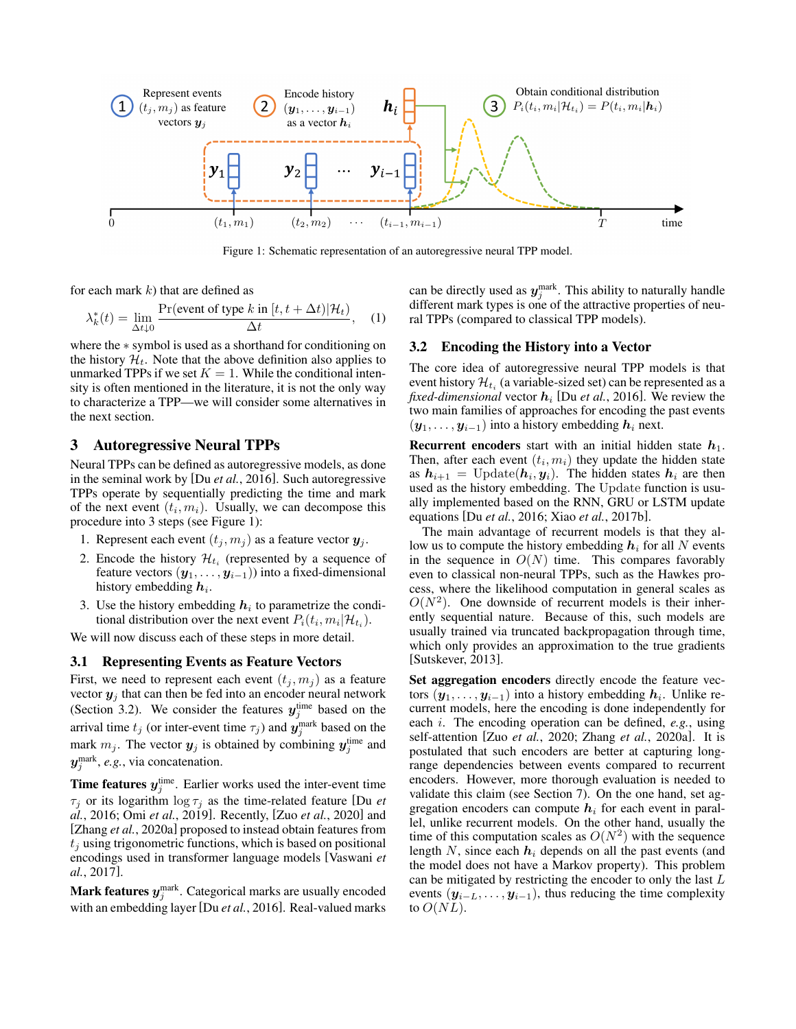<span id="page-1-1"></span>

Figure 1: Schematic representation of an autoregressive neural TPP model.

for each mark  $k$ ) that are defined as

$$
\lambda_k^*(t) = \lim_{\Delta t \downarrow 0} \frac{\Pr(\text{event of type } k \text{ in } [t, t + \Delta t) | \mathcal{H}_t)}{\Delta t}, \quad (1)
$$

where the ∗ symbol is used as a shorthand for conditioning on the history  $\mathcal{H}_t$ . Note that the above definition also applies to unmarked TPPs if we set  $K = 1$ . While the conditional intensity is often mentioned in the literature, it is not the only way to characterize a TPP—we will consider some alternatives in the next section.

### <span id="page-1-0"></span>3 Autoregressive Neural TPPs

Neural TPPs can be defined as autoregressive models, as done in the seminal work by [Du *et al.*[, 2016\]](#page-7-3). Such autoregressive TPPs operate by sequentially predicting the time and mark of the next event  $(t_i, m_i)$ . Usually, we can decompose this procedure into 3 steps (see Figure [1\)](#page-1-1):

- 1. Represent each event  $(t_j, m_j)$  as a feature vector  $y_j$ .
- 2. Encode the history  $\mathcal{H}_{t_i}$  (represented by a sequence of feature vectors  $(\mathbf{y}_1, \dots, \mathbf{y}_{i-1})$  into a fixed-dimensional history embedding  $h_i$ .
- 3. Use the history embedding  $h_i$  to parametrize the conditional distribution over the next event  $P_i(t_i, m_i | \mathcal{H}_{t_i})$ .

We will now discuss each of these steps in more detail.

#### 3.1 Representing Events as Feature Vectors

First, we need to represent each event  $(t_j, m_j)$  as a feature vector  $y_i$  that can then be fed into an encoder neural network (Section [3.2\)](#page-1-2). We consider the features  $y_j^{\text{time}}$  based on the arrival time  $t_j$  (or inter-event time  $\tau_j$ ) and  $\mathbf{y}_j^{\text{mark}}$  based on the mark  $m_j$ . The vector  $y_j$  is obtained by combining  $y_j^{\text{time}}$  and  $y_j^{\text{mark}}$ , *e.g.*, via concatenation.

**Time features**  $y_j^{\text{time}}$ . Earlier works used the inter-event time  $\tau_i$  or its logarithm  $\log \tau_i$  as the time-related feature [\[Du](#page-7-3) *et al.*[, 2016;](#page-7-3) Omi *et al.*[, 2019\]](#page-8-1). Recently, [Zuo *et al.*[, 2020\]](#page-8-2) and [Zhang *et al.*[, 2020a\]](#page-8-3) proposed to instead obtain features from  $t_i$  using trigonometric functions, which is based on positional encodings used in transformer language models [\[Vaswani](#page-8-4) *et al.*[, 2017\]](#page-8-4).

Mark features  $y_j^{\text{mark}}$ . Categorical marks are usually encoded with an embedding layer [Du *et al.*[, 2016\]](#page-7-3). Real-valued marks

<span id="page-1-3"></span>can be directly used as  $y_j^{\text{mark}}$ . This ability to naturally handle different mark types is one of the attractive properties of neural TPPs (compared to classical TPP models).

#### <span id="page-1-2"></span>3.2 Encoding the History into a Vector

The core idea of autoregressive neural TPP models is that event history  $\mathcal{H}_{t_i}$  (a variable-sized set) can be represented as a *fixed-dimensional* vector  $h_i$  [Du *et al.*[, 2016\]](#page-7-3). We review the two main families of approaches for encoding the past events  $(y_1, \ldots, y_{i-1})$  into a history embedding  $h_i$  next.

**Recurrent encoders** start with an initial hidden state  $h_1$ . Then, after each event  $(t_i, m_i)$  they update the hidden state as  $h_{i+1} = \text{Update}(h_i, y_i)$ . The hidden states  $h_i$  are then used as the history embedding. The Update function is usually implemented based on the RNN, GRU or LSTM update equations [Du *et al.*[, 2016;](#page-7-3) Xiao *et al.*[, 2017b\]](#page-8-5).

The main advantage of recurrent models is that they allow us to compute the history embedding  $h_i$  for all N events in the sequence in  $O(N)$  time. This compares favorably even to classical non-neural TPPs, such as the Hawkes process, where the likelihood computation in general scales as  $O(N^2)$ . One downside of recurrent models is their inherently sequential nature. Because of this, such models are usually trained via truncated backpropagation through time, which only provides an approximation to the true gradients [\[Sutskever, 2013\]](#page-8-6).

Set aggregation encoders directly encode the feature vectors  $(y_1, \ldots, y_{i-1})$  into a history embedding  $h_i$ . Unlike recurrent models, here the encoding is done independently for each i. The encoding operation can be defined, *e.g.*, using self-attention [Zuo *et al.*[, 2020;](#page-8-2) Zhang *et al.*[, 2020a\]](#page-8-3). It is postulated that such encoders are better at capturing longrange dependencies between events compared to recurrent encoders. However, more thorough evaluation is needed to validate this claim (see Section [7\)](#page-5-0). On the one hand, set aggregation encoders can compute  $h_i$  for each event in parallel, unlike recurrent models. On the other hand, usually the time of this computation scales as  $O(N^2)$  with the sequence length  $N$ , since each  $h_i$  depends on all the past events (and the model does not have a Markov property). This problem can be mitigated by restricting the encoder to only the last L events  $(y_{i-L},...,y_{i-1})$ , thus reducing the time complexity to  $O(NL)$ .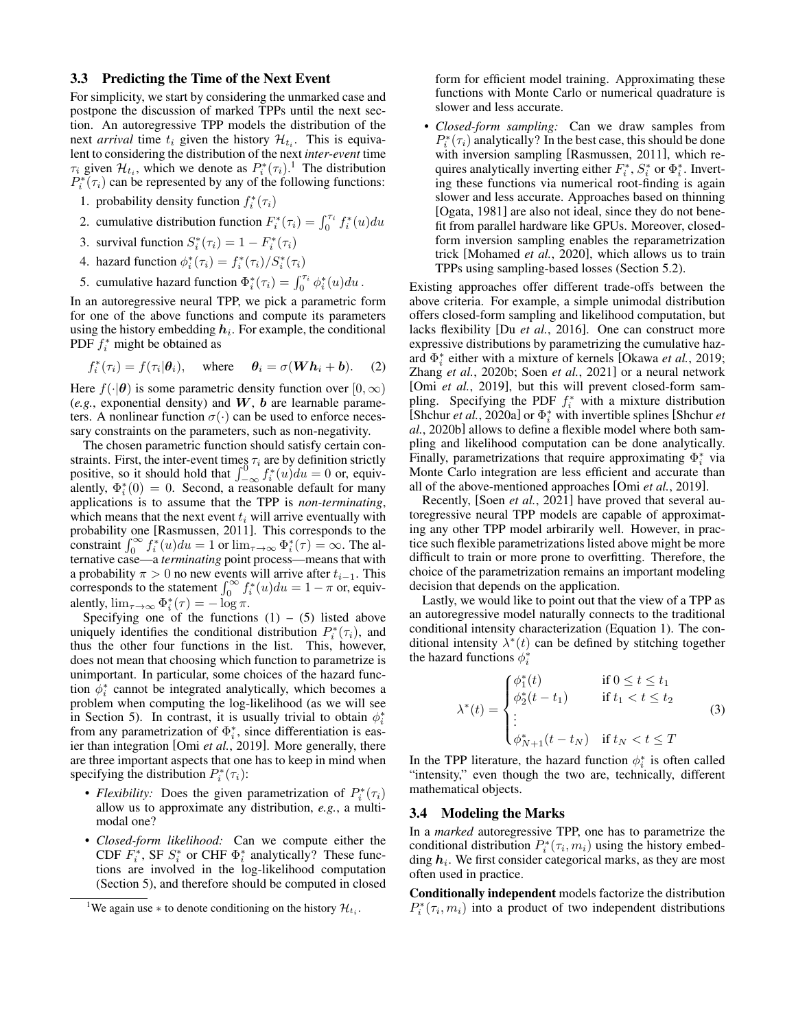#### <span id="page-2-1"></span>3.3 Predicting the Time of the Next Event

For simplicity, we start by considering the unmarked case and postpone the discussion of marked TPPs until the next section. An autoregressive TPP models the distribution of the next *arrival* time  $t_i$  given the history  $\mathcal{H}_{t_i}$ . This is equivalent to considering the distribution of the next *inter-event* time  $\tau_i$  given  $\mathcal{H}_{t_i}$ , which we denote as  $P_i^*(\tau_i)$ .<sup>[1](#page-2-0)</sup> The distribution  $P_i^*(\tau_i)$  can be represented by any of the following functions:

- 1. probability density function  $f_i^*(\tau_i)$
- 2. cumulative distribution function  $F_i^*(\tau_i) = \int_0^{\tau_i} f_i^*(u) du$
- 3. survival function  $S_i^*(\tau_i) = 1 F_i^*(\tau_i)$
- 4. hazard function  $\phi_i^*(\tau_i) = f_i^*(\tau_i)/S_i^*(\tau_i)$
- 5. cumulative hazard function  $\Phi_i^*(\tau_i) = \int_0^{\tau_i} \phi_i^*(u) du$ .

In an autoregressive neural TPP, we pick a parametric form for one of the above functions and compute its parameters using the history embedding  $h_i$ . For example, the conditional PDF  $f_i^*$  might be obtained as

$$
f_i^*(\tau_i) = f(\tau_i | \boldsymbol{\theta}_i), \quad \text{where} \quad \boldsymbol{\theta}_i = \sigma(\boldsymbol{W}\boldsymbol{h}_i + \boldsymbol{b}). \quad (2)
$$

Here  $f(\cdot|\boldsymbol{\theta})$  is some parametric density function over  $[0,\infty)$  $(e.g.,$  exponential density) and  $W$ ,  $b$  are learnable parameters. A nonlinear function  $\sigma(\cdot)$  can be used to enforce necessary constraints on the parameters, such as non-negativity.

The chosen parametric function should satisfy certain constraints. First, the inter-event times  $\tau_i$  are by definition strictly positive, so it should hold that  $\int_{-\infty}^{0} f_i^*(u) du = 0$  or, equivalently,  $\Phi_i^*(0) = 0$ . Second, a reasonable default for many applications is to assume that the TPP is *non-terminating*, which means that the next event  $t_i$  will arrive eventually with probability one [\[Rasmussen, 2011\]](#page-8-7). This corresponds to the constraint  $\int_0^\infty f_i^*(u)du = 1$  or  $\lim_{\tau \to \infty} \Phi_i^*(\tau) = \infty$ . The alternative case—a *terminating* point process—means that with a probability  $\pi > 0$  no new events will arrive after  $t_{i-1}$ . This corresponds to the statement  $\int_0^\infty f_i^*(u)du = 1 - \pi$  or, equivalently,  $\lim_{\tau \to \infty} \Phi_i^*(\tau) = -\log \pi$ .

Specifying one of the functions  $(1) - (5)$  listed above uniquely identifies the conditional distribution  $P_i^*(\tau_i)$ , and thus the other four functions in the list. This, however, does not mean that choosing which function to parametrize is unimportant. In particular, some choices of the hazard function  $\phi_i^*$  cannot be integrated analytically, which becomes a problem when computing the log-likelihood (as we will see in Section [5\)](#page-3-0). In contrast, it is usually trivial to obtain  $\phi_i^*$ from any parametrization of  $\Phi_i^*$ , since differentiation is easier than integration [Omi *et al.*[, 2019\]](#page-8-1). More generally, there are three important aspects that one has to keep in mind when specifying the distribution  $P_i^*(\tau_i)$ :

- *Flexibility:* Does the given parametrization of  $P_i^*(\tau_i)$ allow us to approximate any distribution, *e.g.*, a multimodal one?
- *Closed-form likelihood:* Can we compute either the CDF  $\overline{F}_i^*$ , SF  $S_i^*$  or CHF  $\Phi_i^*$  analytically? These functions are involved in the log-likelihood computation (Section [5\)](#page-3-0), and therefore should be computed in closed

form for efficient model training. Approximating these functions with Monte Carlo or numerical quadrature is slower and less accurate.

• *Closed-form sampling:* Can we draw samples from  $P_i^*(\tau_i)$  analytically? In the best case, this should be done with inversion sampling [\[Rasmussen, 2011\]](#page-8-7), which requires analytically inverting either  $F_i^*$ ,  $S_i^*$  or  $\Phi_i^*$ . Inverting these functions via numerical root-finding is again slower and less accurate. Approaches based on thinning [\[Ogata, 1981\]](#page-7-8) are also not ideal, since they do not benefit from parallel hardware like GPUs. Moreover, closedform inversion sampling enables the reparametrization trick [\[Mohamed](#page-7-9) *et al.*, 2020], which allows us to train TPPs using sampling-based losses (Section [5.2\)](#page-4-1).

Existing approaches offer different trade-offs between the above criteria. For example, a simple unimodal distribution offers closed-form sampling and likelihood computation, but lacks flexibility [Du *et al.*[, 2016\]](#page-7-3). One can construct more expressive distributions by parametrizing the cumulative hazard Φ ∗ i either with a mixture of kernels [\[Okawa](#page-7-10) *et al.*, 2019; Zhang *et al.*[, 2020b;](#page-8-8) Soen *et al.*[, 2021\]](#page-8-9) or a neural network [Omi *et al.*[, 2019\]](#page-8-1), but this will prevent closed-form sampling. Specifying the PDF  $f_i^*$  with a mixture distribution  $\left[$ Shchur *et al.*[, 2020a\]](#page-8-10) or  $\Phi_i^*$  with invertible splines  $\left[$ Shchur *et al.*[, 2020b\]](#page-8-11) allows to define a flexible model where both sampling and likelihood computation can be done analytically. Finally, parametrizations that require approximating  $\Phi_i^*$  via Monte Carlo integration are less efficient and accurate than all of the above-mentioned approaches [Omi *et al.*[, 2019\]](#page-8-1).

Recently, [Soen *et al.*[, 2021\]](#page-8-9) have proved that several autoregressive neural TPP models are capable of approximating any other TPP model arbirarily well. However, in practice such flexible parametrizations listed above might be more difficult to train or more prone to overfitting. Therefore, the choice of the parametrization remains an important modeling decision that depends on the application.

Lastly, we would like to point out that the view of a TPP as an autoregressive model naturally connects to the traditional conditional intensity characterization (Equation [1\)](#page-1-3). The conditional intensity  $\lambda^*(t)$  can be defined by stitching together the hazard functions  $\phi_i^*$ 

<span id="page-2-2"></span>
$$
\lambda^*(t) = \begin{cases}\n\phi_1^*(t) & \text{if } 0 \le t \le t_1 \\
\phi_2^*(t - t_1) & \text{if } t_1 < t \le t_2 \\
\vdots & \\
\phi_{N+1}^*(t - t_N) & \text{if } t_N < t \le T\n\end{cases}
$$
\n(3)

In the TPP literature, the hazard function  $\phi_i^*$  is often called "intensity," even though the two are, technically, different mathematical objects.

### <span id="page-2-3"></span>3.4 Modeling the Marks

In a *marked* autoregressive TPP, one has to parametrize the conditional distribution  $P_i^*(\tau_i, m_i)$  using the history embedding  $h_i$ . We first consider categorical marks, as they are most often used in practice.

Conditionally independent models factorize the distribution  $P_i^*(\tau_i, m_i)$  into a product of two independent distributions

<span id="page-2-0"></span><sup>&</sup>lt;sup>1</sup>We again use  $*$  to denote conditioning on the history  $\mathcal{H}_{t_i}$ .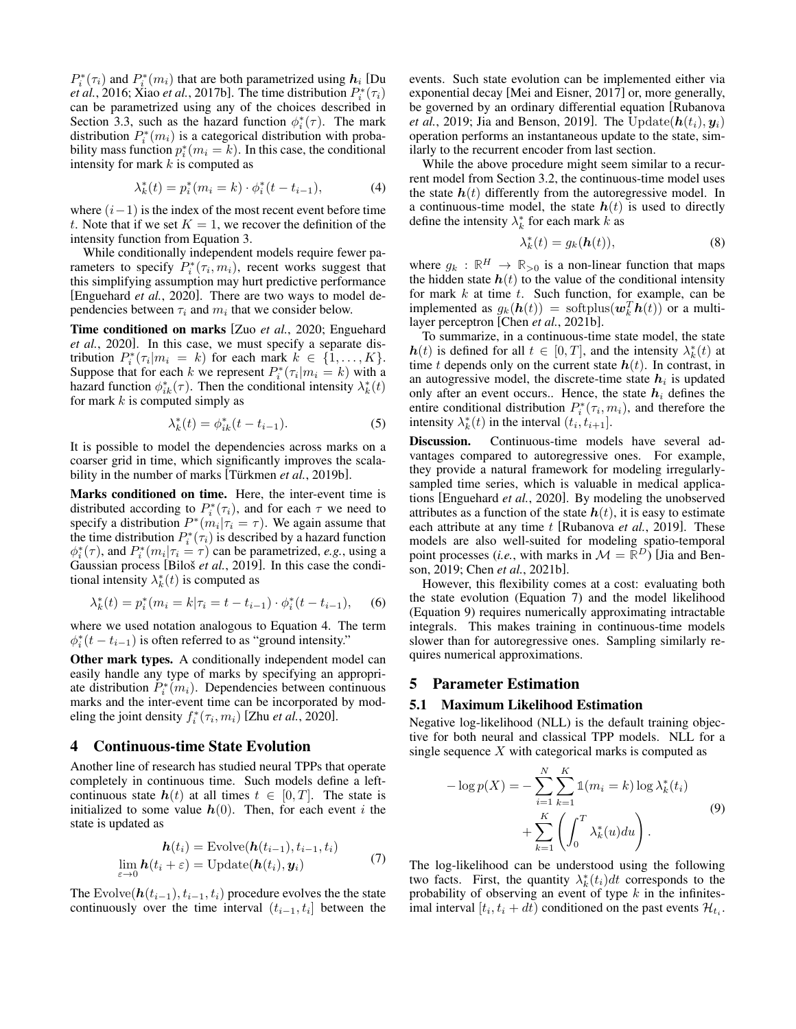$P_i^*(\tau_i)$  and  $P_i^*(m_i)$  that are both parametrized using  $h_i$  [\[Du](#page-7-3) *et al.*[, 2016;](#page-7-3) Xiao *et al.*[, 2017b\]](#page-8-5). The time distribution  $P_i^*(\tau_i)$ can be parametrized using any of the choices described in Section [3.3,](#page-2-1) such as the hazard function  $\phi_i^*(\tau)$ . The mark distribution  $P_i^*(m_i)$  is a categorical distribution with probability mass function  $p_i^*(m_i = k)$ . In this case, the conditional intensity for mark  $k$  is computed as

$$
\lambda_k^*(t) = p_i^*(m_i = k) \cdot \phi_i^*(t - t_{i-1}), \tag{4}
$$

where  $(i-1)$  is the index of the most recent event before time t. Note that if we set  $K = 1$ , we recover the definition of the intensity function from Equation [3.](#page-2-2)

While conditionally independent models require fewer parameters to specify  $P_i^*(\tau_i, m_i)$ , recent works suggest that this simplifying assumption may hurt predictive performance [\[Enguehard](#page-7-7) *et al.*, 2020]. There are two ways to model dependencies between  $\tau_i$  and  $m_i$  that we consider below.

Time conditioned on marks [Zuo *et al.*[, 2020;](#page-8-2) [Enguehard](#page-7-7) *et al.*[, 2020\]](#page-7-7). In this case, we must specify a separate distribution  $P_i^*(\tau_i|m_i = k)$  for each mark  $k \in \{1, ..., K\}$ . Suppose that for each k we represent  $P_i^*(\tau_i|m_i = k)$  with a hazard function  $\phi_{ik}^*(\tau)$ . Then the conditional intensity  $\lambda_k^*(t)$ for mark  $k$  is computed simply as

$$
\lambda_k^*(t) = \phi_{ik}^*(t - t_{i-1}).
$$
\n(5)

It is possible to model the dependencies across marks on a coarser grid in time, which significantly improves the scalability in the number of marks [Türkmen *et al.*, 2019b].

Marks conditioned on time. Here, the inter-event time is distributed according to  $P_i^*(\tau_i)$ , and for each  $\tau$  we need to specify a distribution  $P^*(m_i | \tau_i = \tau)$ . We again assume that the time distribution  $P_i^*(\tau_i)$  is described by a hazard function  $\phi_i^*(\tau)$ , and  $P_i^*(m_i | \tau_i = \tau)$  can be parametrized, *e.g.*, using a Gaussian process [Biloš *et al.*[, 2019\]](#page-6-0). In this case the conditional intensity  $\lambda_k^*(t)$  is computed as

$$
\lambda_k^*(t) = p_i^*(m_i = k | \tau_i = t - t_{i-1}) \cdot \phi_i^*(t - t_{i-1}), \quad (6)
$$

where we used notation analogous to Equation [4.](#page-3-1) The term  $\phi_i^*(t - t_{i-1})$  is often referred to as "ground intensity."

Other mark types. A conditionally independent model can easily handle any type of marks by specifying an appropriate distribution  $P_i^*(m_i)$ . Dependencies between continuous marks and the inter-event time can be incorporated by modeling the joint density  $f_i^*(\tau_i, m_i)$  [Zhu *et al.*[, 2020\]](#page-8-13).

#### <span id="page-3-5"></span>4 Continuous-time State Evolution

Another line of research has studied neural TPPs that operate completely in continuous time. Such models define a leftcontinuous state  $h(t)$  at all times  $t \in [0, T]$ . The state is initialized to some value  $h(0)$ . Then, for each event i the state is updated as

$$
\begin{aligned} \boldsymbol{h}(t_i) &= \text{Evolve}(\boldsymbol{h}(t_{i-1}), t_{i-1}, t_i) \\ \lim_{\varepsilon \to 0} \boldsymbol{h}(t_i + \varepsilon) &= \text{Update}(\boldsymbol{h}(t_i), \boldsymbol{y}_i) \end{aligned} \tag{7}
$$

The Evolve( $h(t_{i-1}), t_{i-1}, t_i)$  procedure evolves the the state continuously over the time interval  $(t_{i-1}, t_i]$  between the

events. Such state evolution can be implemented either via exponential decay [\[Mei and Eisner, 2017\]](#page-7-4) or, more generally, be governed by an ordinary differential equation [\[Rubanova](#page-8-14) *et al.*[, 2019;](#page-8-14) [Jia and Benson, 2019\]](#page-7-11). The Update $(h(t_i), y_i)$ operation performs an instantaneous update to the state, similarly to the recurrent encoder from last section.

<span id="page-3-1"></span>While the above procedure might seem similar to a recurrent model from Section [3.2,](#page-1-2) the continuous-time model uses the state  $h(t)$  differently from the autoregressive model. In a continuous-time model, the state  $h(t)$  is used to directly define the intensity  $\lambda_k^*$  for each mark k as

$$
\lambda_k^*(t) = g_k(\mathbf{h}(t)),\tag{8}
$$

where  $g_k : \mathbb{R}^H \to \mathbb{R}_{>0}$  is a non-linear function that maps the hidden state  $h(t)$  to the value of the conditional intensity for mark  $k$  at time  $t$ . Such function, for example, can be implemented as  $g_k(h(t)) = \text{softplus}(\boldsymbol{w}_k^T h(t))$  or a multilayer perceptron [Chen *et al.*[, 2021b\]](#page-7-12).

To summarize, in a continuous-time state model, the state  $h(t)$  is defined for all  $t \in [0, T]$ , and the intensity  $\lambda_k^*(t)$  at time t depends only on the current state  $h(t)$ . In contrast, in an autogressive model, the discrete-time state  $h_i$  is updated only after an event occurs.. Hence, the state  $h_i$  defines the entire conditional distribution  $P_i^*(\tau_i, m_i)$ , and therefore the intensity  $\lambda_k^*(t)$  in the interval  $(t_i, t_{i+1}]$ .

<span id="page-3-4"></span>Discussion. Continuous-time models have several advantages compared to autoregressive ones. For example, they provide a natural framework for modeling irregularlysampled time series, which is valuable in medical applications [\[Enguehard](#page-7-7) *et al.*, 2020]. By modeling the unobserved attributes as a function of the state  $h(t)$ , it is easy to estimate each attribute at any time t [\[Rubanova](#page-8-14) *et al.*, 2019]. These models are also well-suited for modeling spatio-temporal point processes (*i.e.*, with marks in  $\mathcal{M} = \mathbb{R}^D$ ) [\[Jia and Ben](#page-7-11)[son, 2019;](#page-7-11) Chen *et al.*[, 2021b\]](#page-7-12).

However, this flexibility comes at a cost: evaluating both the state evolution (Equation [7\)](#page-3-2) and the model likelihood (Equation [9\)](#page-3-3) requires numerically approximating intractable integrals. This makes training in continuous-time models slower than for autoregressive ones. Sampling similarly requires numerical approximations.

# <span id="page-3-0"></span>5 Parameter Estimation

#### 5.1 Maximum Likelihood Estimation

Negative log-likelihood (NLL) is the default training objective for both neural and classical TPP models. NLL for a single sequence  $X$  with categorical marks is computed as

<span id="page-3-3"></span>
$$
-\log p(X) = -\sum_{i=1}^{N} \sum_{k=1}^{K} \mathbb{1}(m_i = k) \log \lambda_k^*(t_i) + \sum_{k=1}^{K} \left( \int_0^T \lambda_k^*(u) du \right).
$$
\n(9)

<span id="page-3-2"></span>The log-likelihood can be understood using the following two facts. First, the quantity  $\lambda_k^*(t_i)dt$  corresponds to the probability of observing an event of type  $k$  in the infinitesimal interval  $[t_i, t_i + dt)$  conditioned on the past events  $\mathcal{H}_{t_i}$ .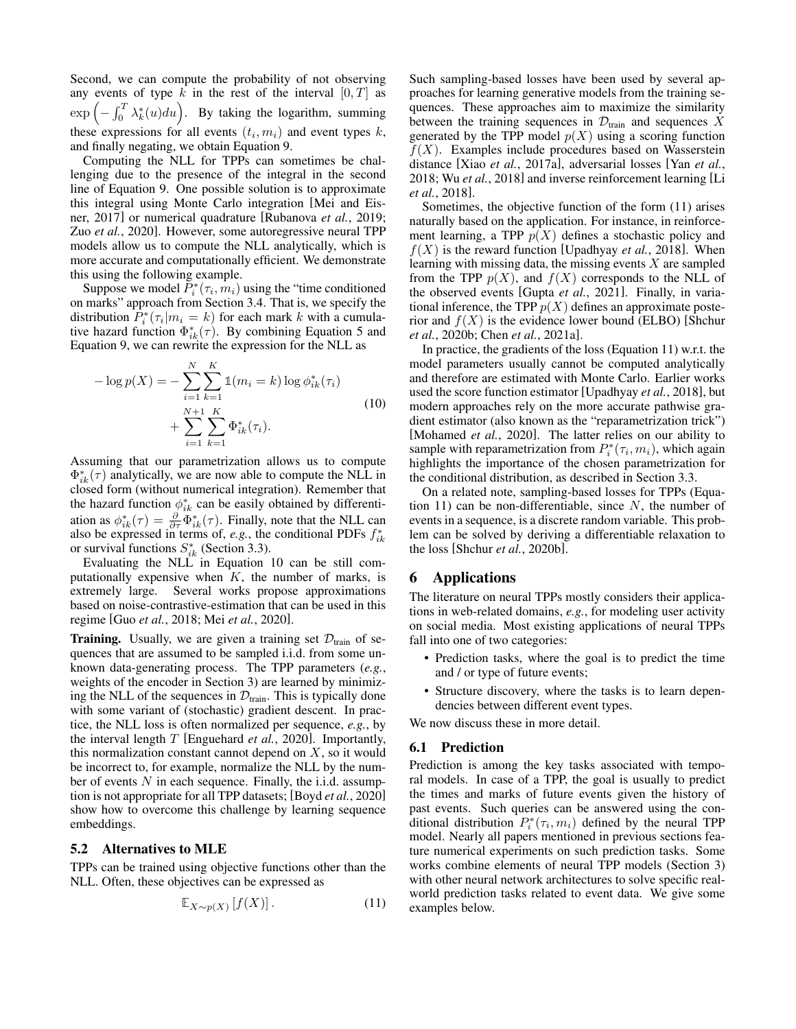Second, we can compute the probability of not observing any events of type k in the rest of the interval  $[0, T]$  as  $\exp\left(-\int_0^T \lambda_k^*(u)du\right)$ . By taking the logarithm, summing these expressions for all events  $(t_i, m_i)$  and event types k, and finally negating, we obtain Equation [9.](#page-3-3)

Computing the NLL for TPPs can sometimes be challenging due to the presence of the integral in the second line of Equation [9.](#page-3-3) One possible solution is to approximate this integral using Monte Carlo integration [\[Mei and Eis](#page-7-4)[ner, 2017\]](#page-7-4) or numerical quadrature [\[Rubanova](#page-8-14) *et al.*, 2019; Zuo *et al.*[, 2020\]](#page-8-2). However, some autoregressive neural TPP models allow us to compute the NLL analytically, which is more accurate and computationally efficient. We demonstrate this using the following example.

Suppose we model  $\tilde{P}_i^*(\tau_i, m_i)$  using the "time conditioned on marks" approach from Section [3.4.](#page-2-3) That is, we specify the distribution  $\hat{P}_i^*(\tau_i|m_i = k)$  for each mark k with a cumulative hazard function  $\Phi_{ik}^*(\tau)$ . By combining Equation [5](#page-3-4) and Equation [9,](#page-3-3) we can rewrite the expression for the NLL as

$$
-\log p(X) = -\sum_{i=1}^{N} \sum_{k=1}^{K} \mathbb{1}(m_i = k) \log \phi_{ik}^*(\tau_i)
$$
  
+ 
$$
\sum_{i=1}^{N+1} \sum_{k=1}^{K} \Phi_{ik}^*(\tau_i).
$$
 (10)

Assuming that our parametrization allows us to compute  $\Phi_{ik}^*(\tau)$  analytically, we are now able to compute the NLL in closed form (without numerical integration). Remember that the hazard function  $\phi_{ik}^*$  can be easily obtained by differentiation as  $\phi_{ik}^*(\tau) = \frac{\partial}{\partial \tau} \Phi_{ik}^*(\tau)$ . Finally, note that the NLL can also be expressed in terms of, *e.g.*, the conditional PDFs  $f_{ik}^*$ or survival functions  $S_{ik}^*$  (Section [3.3\)](#page-2-1).

Evaluating the NLL in Equation [10](#page-4-2) can be still computationally expensive when  $K$ , the number of marks, is extremely large. Several works propose approximations based on noise-contrastive-estimation that can be used in this regime [Guo *et al.*[, 2018;](#page-7-13) Mei *et al.*[, 2020\]](#page-7-14).

**Training.** Usually, we are given a training set  $\mathcal{D}_{\text{train}}$  of sequences that are assumed to be sampled i.i.d. from some unknown data-generating process. The TPP parameters (*e.g.*, weights of the encoder in Section [3\)](#page-1-0) are learned by minimizing the NLL of the sequences in  $\mathcal{D}_{\text{train}}$ . This is typically done with some variant of (stochastic) gradient descent. In practice, the NLL loss is often normalized per sequence, *e.g.*, by the interval length T [\[Enguehard](#page-7-7) *et al.*, 2020]. Importantly, this normalization constant cannot depend on  $X$ , so it would be incorrect to, for example, normalize the NLL by the number of events  $N$  in each sequence. Finally, the i.i.d. assumption is not appropriate for all TPP datasets; [Boyd *et al.*[, 2020\]](#page-6-1) show how to overcome this challenge by learning sequence embeddings.

#### <span id="page-4-1"></span>5.2 Alternatives to MLE

TPPs can be trained using objective functions other than the NLL. Often, these objectives can be expressed as

$$
\mathbb{E}_{X \sim p(X)} \left[ f(X) \right]. \tag{11}
$$

Such sampling-based losses have been used by several approaches for learning generative models from the training sequences. These approaches aim to maximize the similarity between the training sequences in  $\mathcal{D}_{\text{train}}$  and sequences X generated by the TPP model  $p(X)$  using a scoring function  $f(X)$ . Examples include procedures based on Wasserstein distance [Xiao *et al.*[, 2017a\]](#page-8-15), adversarial losses [Yan *[et al.](#page-8-16)*, [2018;](#page-8-16) Wu *et al.*[, 2018\]](#page-8-17) and inverse reinforcement learning [\[Li](#page-7-15) *et al.*[, 2018\]](#page-7-15).

Sometimes, the objective function of the form [\(11\)](#page-4-3) arises naturally based on the application. For instance, in reinforcement learning, a TPP  $p(X)$  defines a stochastic policy and  $f(X)$  is the reward function [\[Upadhyay](#page-8-18) *et al.*, 2018]. When learning with missing data, the missing events  $X$  are sampled from the TPP  $p(X)$ , and  $f(X)$  corresponds to the NLL of the observed events [Gupta *et al.*[, 2021\]](#page-7-16). Finally, in variational inference, the TPP  $p(X)$  defines an approximate posterior and  $f(X)$  is the evidence lower bound (ELBO) [\[Shchur](#page-8-11) *et al.*[, 2020b;](#page-8-11) Chen *et al.*[, 2021a\]](#page-7-17).

<span id="page-4-2"></span>In practice, the gradients of the loss (Equation [11\)](#page-4-3) w.r.t. the model parameters usually cannot be computed analytically and therefore are estimated with Monte Carlo. Earlier works used the score function estimator [\[Upadhyay](#page-8-18) *et al.*, 2018], but modern approaches rely on the more accurate pathwise gradient estimator (also known as the "reparametrization trick") [\[Mohamed](#page-7-9) *et al.*, 2020]. The latter relies on our ability to sample with reparametrization from  $P_i^*(\tau_i, m_i)$ , which again highlights the importance of the chosen parametrization for the conditional distribution, as described in Section [3.3.](#page-2-1)

On a related note, sampling-based losses for TPPs (Equa-tion [11\)](#page-4-3) can be non-differentiable, since  $N$ , the number of events in a sequence, is a discrete random variable. This problem can be solved by deriving a differentiable relaxation to the loss [Shchur *et al.*[, 2020b\]](#page-8-11).

# <span id="page-4-0"></span>6 Applications

The literature on neural TPPs mostly considers their applications in web-related domains, *e.g.*, for modeling user activity on social media. Most existing applications of neural TPPs fall into one of two categories:

- Prediction tasks, where the goal is to predict the time and / or type of future events;
- Structure discovery, where the tasks is to learn dependencies between different event types.

We now discuss these in more detail.

#### 6.1 Prediction

<span id="page-4-3"></span>Prediction is among the key tasks associated with temporal models. In case of a TPP, the goal is usually to predict the times and marks of future events given the history of past events. Such queries can be answered using the conditional distribution  $P_i^*(\tau_i, m_i)$  defined by the neural TPP model. Nearly all papers mentioned in previous sections feature numerical experiments on such prediction tasks. Some works combine elements of neural TPP models (Section [3\)](#page-1-0) with other neural network architectures to solve specific realworld prediction tasks related to event data. We give some examples below.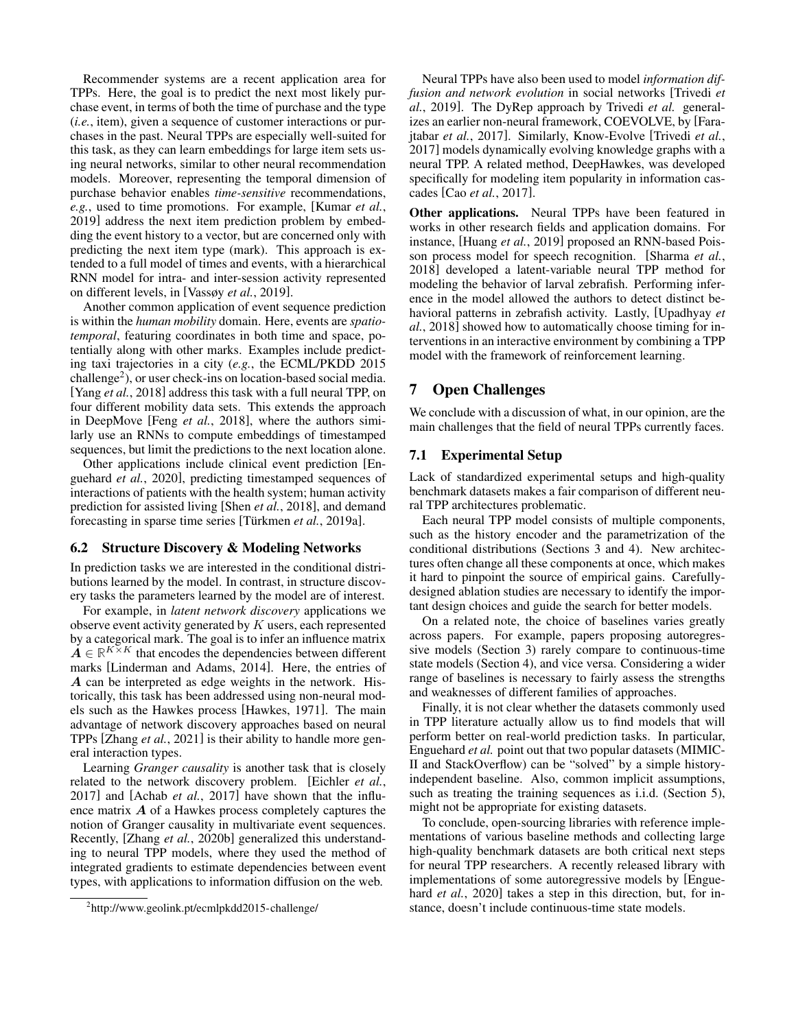Recommender systems are a recent application area for TPPs. Here, the goal is to predict the next most likely purchase event, in terms of both the time of purchase and the type (*i.e.*, item), given a sequence of customer interactions or purchases in the past. Neural TPPs are especially well-suited for this task, as they can learn embeddings for large item sets using neural networks, similar to other neural recommendation models. Moreover, representing the temporal dimension of purchase behavior enables *time-sensitive* recommendations, *e.g.*, used to time promotions. For example, [\[Kumar](#page-7-18) *et al.*, [2019\]](#page-7-18) address the next item prediction problem by embedding the event history to a vector, but are concerned only with predicting the next item type (mark). This approach is extended to a full model of times and events, with a hierarchical RNN model for intra- and inter-session activity represented on different levels, in [\[Vassøy](#page-8-19) *et al.*, 2019].

Another common application of event sequence prediction is within the *human mobility* domain. Here, events are *spatiotemporal*, featuring coordinates in both time and space, potentially along with other marks. Examples include predicting taxi trajectories in a city (*e.g.*, the ECML/PKDD 2015 challenge<sup>[2](#page-5-1)</sup>), or user check-ins on location-based social media. [Yang *et al.*[, 2018\]](#page-8-20) address this task with a full neural TPP, on four different mobility data sets. This extends the approach in DeepMove [Feng *et al.*[, 2018\]](#page-7-19), where the authors similarly use an RNNs to compute embeddings of timestamped sequences, but limit the predictions to the next location alone.

Other applications include clinical event prediction [\[En](#page-7-7)[guehard](#page-7-7) *et al.*, 2020], predicting timestamped sequences of interactions of patients with the health system; human activity prediction for assisted living [Shen *et al.*[, 2018\]](#page-8-21), and demand forecasting in sparse time series [Türkmen *et al.*, 2019a].

### 6.2 Structure Discovery & Modeling Networks

In prediction tasks we are interested in the conditional distributions learned by the model. In contrast, in structure discovery tasks the parameters learned by the model are of interest.

For example, in *latent network discovery* applications we observe event activity generated by  $K$  users, each represented by a categorical mark. The goal is to infer an influence matrix  $\mathbf{A} \in \mathbb{R}^{K \times K}$  that encodes the dependencies between different marks [\[Linderman and Adams, 2014\]](#page-7-20). Here, the entries of A can be interpreted as edge weights in the network. Historically, this task has been addressed using non-neural models such as the Hawkes process [\[Hawkes, 1971\]](#page-7-5). The main advantage of network discovery approaches based on neural TPPs [Zhang *et al.*[, 2021\]](#page-8-23) is their ability to handle more general interaction types.

Learning *Granger causality* is another task that is closely related to the network discovery problem. [\[Eichler](#page-7-21) *et al.*, [2017\]](#page-7-21) and [Achab *et al.*[, 2017\]](#page-6-2) have shown that the influence matrix A of a Hawkes process completely captures the notion of Granger causality in multivariate event sequences. Recently, [Zhang *et al.*[, 2020b\]](#page-8-8) generalized this understanding to neural TPP models, where they used the method of integrated gradients to estimate dependencies between event types, with applications to information diffusion on the web.

Neural TPPs have also been used to model *information diffusion and network evolution* in social networks [\[Trivedi](#page-8-24) *et al.*[, 2019\]](#page-8-24). The DyRep approach by [Trivedi](#page-8-24) *et al.* generalizes an earlier non-neural framework, COEVOLVE, by [\[Fara](#page-7-22)jtabar *et al.*[, 2017\]](#page-7-22). Similarly, Know-Evolve [\[Trivedi](#page-8-25) *et al.*, [2017\]](#page-8-25) models dynamically evolving knowledge graphs with a neural TPP. A related method, DeepHawkes, was developed specifically for modeling item popularity in information cascades [Cao *et al.*[, 2017\]](#page-7-23).

Other applications. Neural TPPs have been featured in works in other research fields and application domains. For instance, [\[Huang](#page-7-24) *et al.*, 2019] proposed an RNN-based Poisson process model for speech recognition. [\[Sharma](#page-8-26) *et al.*, [2018\]](#page-8-26) developed a latent-variable neural TPP method for modeling the behavior of larval zebrafish. Performing inference in the model allowed the authors to detect distinct behavioral patterns in zebrafish activity. Lastly, [\[Upadhyay](#page-8-18) *et al.*[, 2018\]](#page-8-18) showed how to automatically choose timing for interventions in an interactive environment by combining a TPP model with the framework of reinforcement learning.

# <span id="page-5-0"></span>7 Open Challenges

We conclude with a discussion of what, in our opinion, are the main challenges that the field of neural TPPs currently faces.

#### 7.1 Experimental Setup

Lack of standardized experimental setups and high-quality benchmark datasets makes a fair comparison of different neural TPP architectures problematic.

Each neural TPP model consists of multiple components, such as the history encoder and the parametrization of the conditional distributions (Sections [3](#page-1-0) and [4\)](#page-3-5). New architectures often change all these components at once, which makes it hard to pinpoint the source of empirical gains. Carefullydesigned ablation studies are necessary to identify the important design choices and guide the search for better models.

On a related note, the choice of baselines varies greatly across papers. For example, papers proposing autoregressive models (Section [3\)](#page-1-0) rarely compare to continuous-time state models (Section [4\)](#page-3-5), and vice versa. Considering a wider range of baselines is necessary to fairly assess the strengths and weaknesses of different families of approaches.

Finally, it is not clear whether the datasets commonly used in TPP literature actually allow us to find models that will perform better on real-world prediction tasks. In particular, [Enguehard](#page-7-7) *et al.* point out that two popular datasets (MIMIC-II and StackOverflow) can be "solved" by a simple historyindependent baseline. Also, common implicit assumptions, such as treating the training sequences as i.i.d. (Section [5\)](#page-3-0), might not be appropriate for existing datasets.

To conclude, open-sourcing libraries with reference implementations of various baseline methods and collecting large high-quality benchmark datasets are both critical next steps for neural TPP researchers. A recently released library with implementations of some autoregressive models by [\[Engue](#page-7-7)hard *et al.*[, 2020\]](#page-7-7) takes a step in this direction, but, for instance, doesn't include continuous-time state models.

<span id="page-5-1"></span><sup>2</sup> <http://www.geolink.pt/ecmlpkdd2015-challenge/>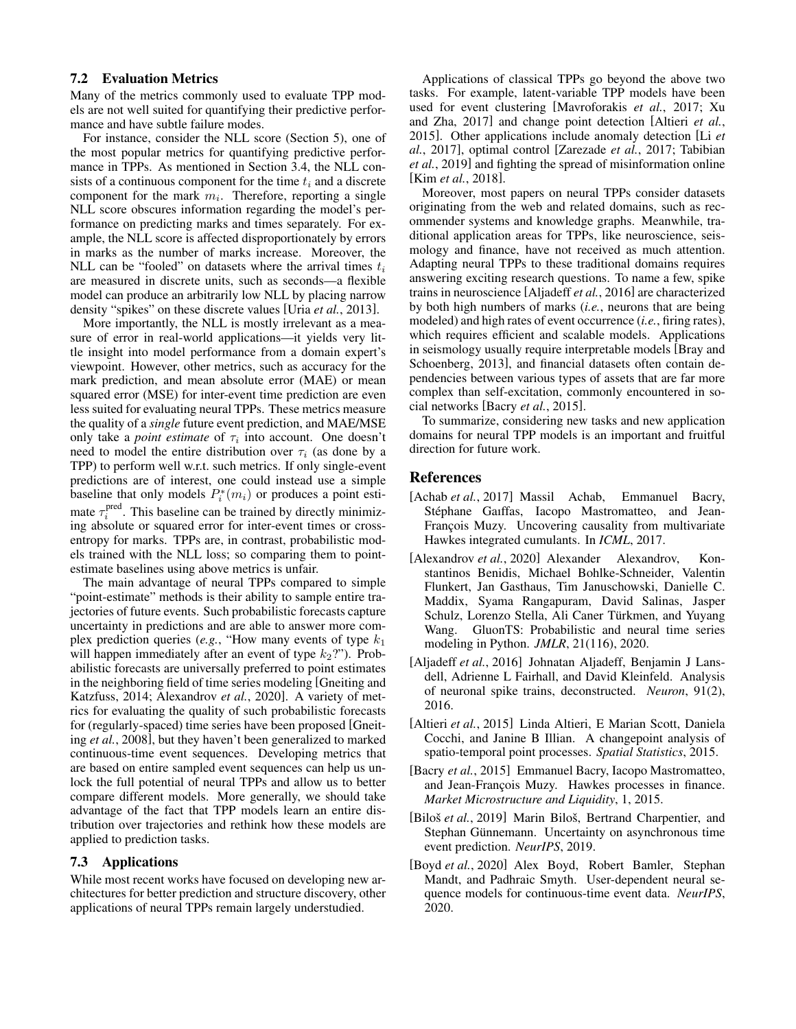#### 7.2 Evaluation Metrics

Many of the metrics commonly used to evaluate TPP models are not well suited for quantifying their predictive performance and have subtle failure modes.

For instance, consider the NLL score (Section [5\)](#page-3-0), one of the most popular metrics for quantifying predictive performance in TPPs. As mentioned in Section [3.4,](#page-2-3) the NLL consists of a continuous component for the time  $t_i$  and a discrete component for the mark  $m_i$ . Therefore, reporting a single NLL score obscures information regarding the model's performance on predicting marks and times separately. For example, the NLL score is affected disproportionately by errors in marks as the number of marks increase. Moreover, the NLL can be "fooled" on datasets where the arrival times  $t_i$ are measured in discrete units, such as seconds—a flexible model can produce an arbitrarily low NLL by placing narrow density "spikes" on these discrete values [Uria *et al.*[, 2013\]](#page-8-27).

More importantly, the NLL is mostly irrelevant as a measure of error in real-world applications—it yields very little insight into model performance from a domain expert's viewpoint. However, other metrics, such as accuracy for the mark prediction, and mean absolute error (MAE) or mean squared error (MSE) for inter-event time prediction are even less suited for evaluating neural TPPs. These metrics measure the quality of a *single* future event prediction, and MAE/MSE only take a *point estimate* of  $\tau_i$  into account. One doesn't need to model the entire distribution over  $\tau_i$  (as done by a TPP) to perform well w.r.t. such metrics. If only single-event predictions are of interest, one could instead use a simple baseline that only models  $P_i^*(m_i)$  or produces a point estimate  $\tau_i^{\text{pred}}$ . This baseline can be trained by directly minimizing absolute or squared error for inter-event times or crossentropy for marks. TPPs are, in contrast, probabilistic models trained with the NLL loss; so comparing them to pointestimate baselines using above metrics is unfair.

The main advantage of neural TPPs compared to simple "point-estimate" methods is their ability to sample entire trajectories of future events. Such probabilistic forecasts capture uncertainty in predictions and are able to answer more complex prediction queries (*e.g.*, "How many events of type  $k_1$ will happen immediately after an event of type  $k_2$ ?"). Probabilistic forecasts are universally preferred to point estimates in the neighboring field of time series modeling [\[Gneiting and](#page-7-25) [Katzfuss, 2014;](#page-7-25) [Alexandrov](#page-6-3) *et al.*, 2020]. A variety of metrics for evaluating the quality of such probabilistic forecasts for (regularly-spaced) time series have been proposed [\[Gneit](#page-7-26)ing *et al.*[, 2008\]](#page-7-26), but they haven't been generalized to marked continuous-time event sequences. Developing metrics that are based on entire sampled event sequences can help us unlock the full potential of neural TPPs and allow us to better compare different models. More generally, we should take advantage of the fact that TPP models learn an entire distribution over trajectories and rethink how these models are applied to prediction tasks.

# 7.3 Applications

While most recent works have focused on developing new architectures for better prediction and structure discovery, other applications of neural TPPs remain largely understudied.

Applications of classical TPPs go beyond the above two tasks. For example, latent-variable TPP models have been used for event clustering [\[Mavroforakis](#page-7-27) *et al.*, 2017; [Xu](#page-8-28) [and Zha, 2017\]](#page-8-28) and change point detection [\[Altieri](#page-6-4) *et al.*, [2015\]](#page-6-4). Other applications include anomaly detection [\[Li](#page-7-28) *et al.*[, 2017\]](#page-7-28), optimal control [\[Zarezade](#page-8-29) *et al.*, 2017; [Tabibian](#page-8-30) *et al.*[, 2019\]](#page-8-30) and fighting the spread of misinformation online [Kim *et al.*[, 2018\]](#page-7-29).

Moreover, most papers on neural TPPs consider datasets originating from the web and related domains, such as recommender systems and knowledge graphs. Meanwhile, traditional application areas for TPPs, like neuroscience, seismology and finance, have not received as much attention. Adapting neural TPPs to these traditional domains requires answering exciting research questions. To name a few, spike trains in neuroscience [\[Aljadeff](#page-6-5) *et al.*, 2016] are characterized by both high numbers of marks (*i.e.*, neurons that are being modeled) and high rates of event occurrence (*i.e.*, firing rates), which requires efficient and scalable models. Applications in seismology usually require interpretable models [\[Bray and](#page-7-30) [Schoenberg, 2013\]](#page-7-30), and financial datasets often contain dependencies between various types of assets that are far more complex than self-excitation, commonly encountered in social networks [Bacry *et al.*[, 2015\]](#page-6-6).

To summarize, considering new tasks and new application domains for neural TPP models is an important and fruitful direction for future work.

### References

- <span id="page-6-2"></span>[Achab *et al.*, 2017] Massil Achab, Emmanuel Bacry, Stéphane Gaiffas, Iacopo Mastromatteo, and Jean-François Muzy. Uncovering causality from multivariate Hawkes integrated cumulants. In *ICML*, 2017.
- <span id="page-6-3"></span>[Alexandrov *et al.*, 2020] Alexander Alexandrov, Konstantinos Benidis, Michael Bohlke-Schneider, Valentin Flunkert, Jan Gasthaus, Tim Januschowski, Danielle C. Maddix, Syama Rangapuram, David Salinas, Jasper Schulz, Lorenzo Stella, Ali Caner Türkmen, and Yuyang Wang. GluonTS: Probabilistic and neural time series modeling in Python. *JMLR*, 21(116), 2020.
- <span id="page-6-5"></span>[Aljadeff *et al.*, 2016] Johnatan Aljadeff, Benjamin J Lansdell, Adrienne L Fairhall, and David Kleinfeld. Analysis of neuronal spike trains, deconstructed. *Neuron*, 91(2), 2016.
- <span id="page-6-4"></span>[Altieri *et al.*, 2015] Linda Altieri, E Marian Scott, Daniela Cocchi, and Janine B Illian. A changepoint analysis of spatio-temporal point processes. *Spatial Statistics*, 2015.
- <span id="page-6-6"></span>[Bacry *et al.*, 2015] Emmanuel Bacry, Iacopo Mastromatteo, and Jean-François Muzy. Hawkes processes in finance. *Market Microstructure and Liquidity*, 1, 2015.
- <span id="page-6-0"></span>[Biloš *et al.*, 2019] Marin Biloš, Bertrand Charpentier, and Stephan Günnemann. Uncertainty on asynchronous time event prediction. *NeurIPS*, 2019.
- <span id="page-6-1"></span>[Boyd *et al.*, 2020] Alex Boyd, Robert Bamler, Stephan Mandt, and Padhraic Smyth. User-dependent neural sequence models for continuous-time event data. *NeurIPS*, 2020.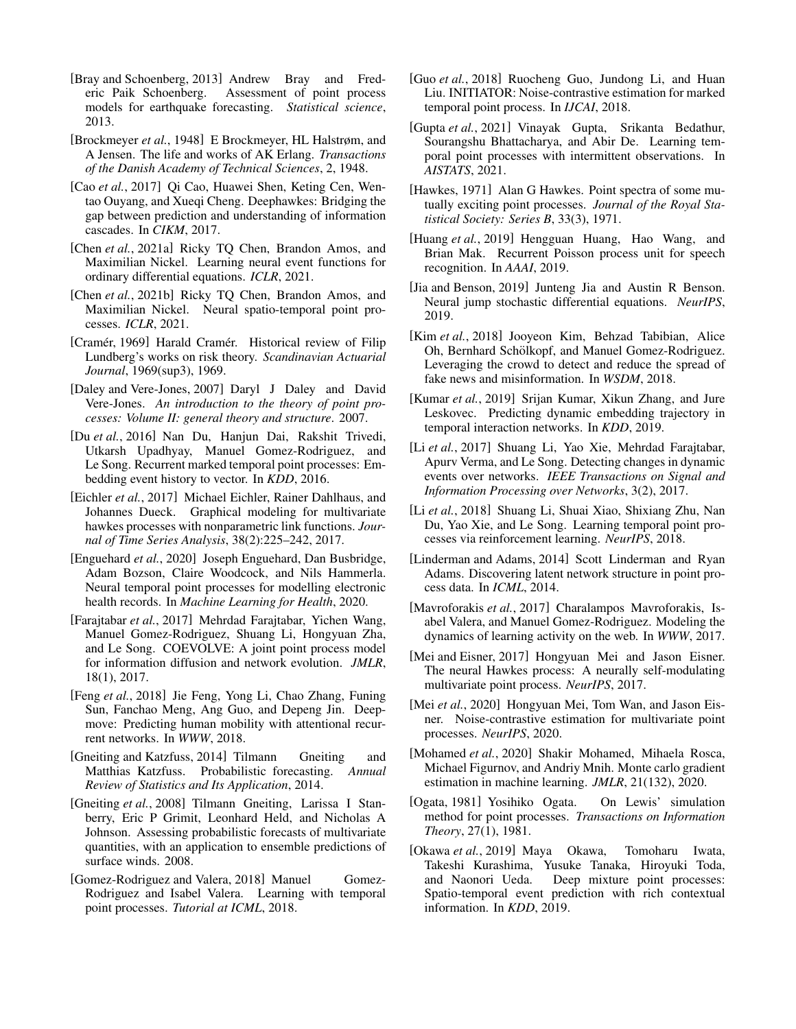- <span id="page-7-30"></span>[Bray and Schoenberg, 2013] Andrew Bray and Frederic Paik Schoenberg. Assessment of point process models for earthquake forecasting. *Statistical science*, 2013.
- <span id="page-7-1"></span>[Brockmeyer *et al.*, 1948] E Brockmeyer, HL Halstrøm, and A Jensen. The life and works of AK Erlang. *Transactions of the Danish Academy of Technical Sciences*, 2, 1948.
- <span id="page-7-23"></span>[Cao *et al.*, 2017] Qi Cao, Huawei Shen, Keting Cen, Wentao Ouyang, and Xueqi Cheng. Deephawkes: Bridging the gap between prediction and understanding of information cascades. In *CIKM*, 2017.
- <span id="page-7-17"></span>[Chen *et al.*, 2021a] Ricky TQ Chen, Brandon Amos, and Maximilian Nickel. Learning neural event functions for ordinary differential equations. *ICLR*, 2021.
- <span id="page-7-12"></span>[Chen *et al.*, 2021b] Ricky TO Chen, Brandon Amos, and Maximilian Nickel. Neural spatio-temporal point processes. *ICLR*, 2021.
- <span id="page-7-2"></span>[Cramér, 1969] Harald Cramér. Historical review of Filip Lundberg's works on risk theory. *Scandinavian Actuarial Journal*, 1969(sup3), 1969.
- <span id="page-7-0"></span>[Daley and Vere-Jones, 2007] Daryl J Daley and David Vere-Jones. *An introduction to the theory of point processes: Volume II: general theory and structure*. 2007.
- <span id="page-7-3"></span>[Du *et al.*, 2016] Nan Du, Hanjun Dai, Rakshit Trivedi, Utkarsh Upadhyay, Manuel Gomez-Rodriguez, and Le Song. Recurrent marked temporal point processes: Embedding event history to vector. In *KDD*, 2016.
- <span id="page-7-21"></span>[Eichler *et al.*, 2017] Michael Eichler, Rainer Dahlhaus, and Johannes Dueck. Graphical modeling for multivariate hawkes processes with nonparametric link functions. *Journal of Time Series Analysis*, 38(2):225–242, 2017.
- <span id="page-7-7"></span>[Enguehard *et al.*, 2020] Joseph Enguehard, Dan Busbridge, Adam Bozson, Claire Woodcock, and Nils Hammerla. Neural temporal point processes for modelling electronic health records. In *Machine Learning for Health*, 2020.
- <span id="page-7-22"></span>[Farajtabar *et al.*, 2017] Mehrdad Farajtabar, Yichen Wang, Manuel Gomez-Rodriguez, Shuang Li, Hongyuan Zha, and Le Song. COEVOLVE: A joint point process model for information diffusion and network evolution. *JMLR*, 18(1), 2017.
- <span id="page-7-19"></span>[Feng *et al.*, 2018] Jie Feng, Yong Li, Chao Zhang, Funing Sun, Fanchao Meng, Ang Guo, and Depeng Jin. Deepmove: Predicting human mobility with attentional recurrent networks. In *WWW*, 2018.
- <span id="page-7-25"></span>[Gneiting and Katzfuss, 2014] Tilmann Gneiting and Matthias Katzfuss. Probabilistic forecasting. *Annual Review of Statistics and Its Application*, 2014.
- <span id="page-7-26"></span>[Gneiting *et al.*, 2008] Tilmann Gneiting, Larissa I Stanberry, Eric P Grimit, Leonhard Held, and Nicholas A Johnson. Assessing probabilistic forecasts of multivariate quantities, with an application to ensemble predictions of surface winds. 2008.
- <span id="page-7-6"></span>[Gomez-Rodriguez and Valera, 2018] Manuel Gomez-Rodriguez and Isabel Valera. Learning with temporal point processes. *Tutorial at ICML*, 2018.
- <span id="page-7-13"></span>[Guo *et al.*, 2018] Ruocheng Guo, Jundong Li, and Huan Liu. INITIATOR: Noise-contrastive estimation for marked temporal point process. In *IJCAI*, 2018.
- <span id="page-7-16"></span>[Gupta *et al.*, 2021] Vinayak Gupta, Srikanta Bedathur, Sourangshu Bhattacharya, and Abir De. Learning temporal point processes with intermittent observations. In *AISTATS*, 2021.
- <span id="page-7-5"></span>[Hawkes, 1971] Alan G Hawkes. Point spectra of some mutually exciting point processes. *Journal of the Royal Statistical Society: Series B*, 33(3), 1971.
- <span id="page-7-24"></span>[Huang *et al.*, 2019] Hengguan Huang, Hao Wang, and Brian Mak. Recurrent Poisson process unit for speech recognition. In *AAAI*, 2019.
- <span id="page-7-11"></span>[Jia and Benson, 2019] Junteng Jia and Austin R Benson. Neural jump stochastic differential equations. *NeurIPS*, 2019.
- <span id="page-7-29"></span>[Kim *et al.*, 2018] Jooyeon Kim, Behzad Tabibian, Alice Oh, Bernhard Schölkopf, and Manuel Gomez-Rodriguez. Leveraging the crowd to detect and reduce the spread of fake news and misinformation. In *WSDM*, 2018.
- <span id="page-7-18"></span>[Kumar *et al.*, 2019] Srijan Kumar, Xikun Zhang, and Jure Leskovec. Predicting dynamic embedding trajectory in temporal interaction networks. In *KDD*, 2019.
- <span id="page-7-28"></span>[Li *et al.*, 2017] Shuang Li, Yao Xie, Mehrdad Farajtabar, Apurv Verma, and Le Song. Detecting changes in dynamic events over networks. *IEEE Transactions on Signal and Information Processing over Networks*, 3(2), 2017.
- <span id="page-7-15"></span>[Li *et al.*, 2018] Shuang Li, Shuai Xiao, Shixiang Zhu, Nan Du, Yao Xie, and Le Song. Learning temporal point processes via reinforcement learning. *NeurIPS*, 2018.
- <span id="page-7-20"></span>[Linderman and Adams, 2014] Scott Linderman and Ryan Adams. Discovering latent network structure in point process data. In *ICML*, 2014.
- <span id="page-7-27"></span>[Mavroforakis *et al.*, 2017] Charalampos Mavroforakis, Isabel Valera, and Manuel Gomez-Rodriguez. Modeling the dynamics of learning activity on the web. In *WWW*, 2017.
- <span id="page-7-4"></span>[Mei and Eisner, 2017] Hongyuan Mei and Jason Eisner. The neural Hawkes process: A neurally self-modulating multivariate point process. *NeurIPS*, 2017.
- <span id="page-7-14"></span>[Mei et al., 2020] Hongyuan Mei, Tom Wan, and Jason Eisner. Noise-contrastive estimation for multivariate point processes. *NeurIPS*, 2020.
- <span id="page-7-9"></span>[Mohamed *et al.*, 2020] Shakir Mohamed, Mihaela Rosca, Michael Figurnov, and Andriy Mnih. Monte carlo gradient estimation in machine learning. *JMLR*, 21(132), 2020.
- <span id="page-7-8"></span>[Ogata, 1981] Yosihiko Ogata. On Lewis' simulation method for point processes. *Transactions on Information Theory*, 27(1), 1981.
- <span id="page-7-10"></span>[Okawa *et al.*, 2019] Maya Okawa, Tomoharu Iwata, Takeshi Kurashima, Yusuke Tanaka, Hiroyuki Toda, and Naonori Ueda. Deep mixture point processes: Spatio-temporal event prediction with rich contextual information. In *KDD*, 2019.